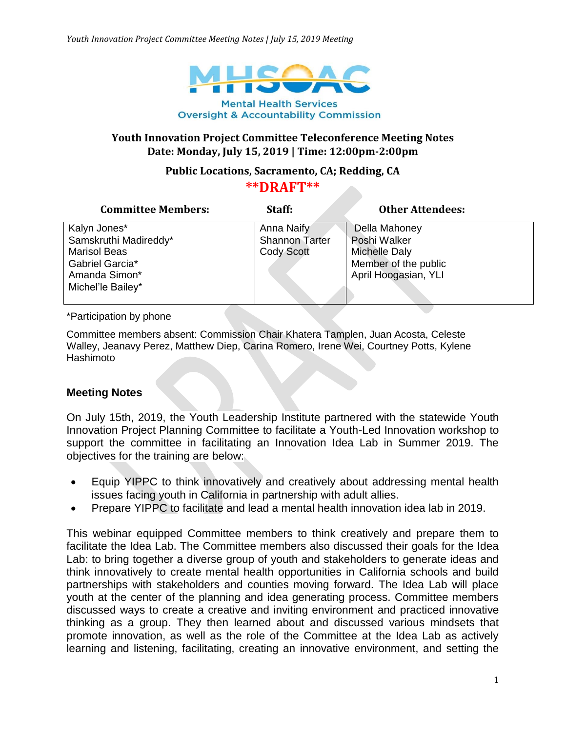

## **Youth Innovation Project Committee Teleconference Meeting Notes Date: Monday, July 15, 2019 | Time: 12:00pm-2:00pm**

## **Public Locations, Sacramento, CA; Redding, CA**

## **\*\*DRAFT\*\***

| <b>Committee Members:</b> | Staff:                | <b>Other Attendees:</b> |
|---------------------------|-----------------------|-------------------------|
| Kalyn Jones*              | Anna Naify            | Della Mahoney           |
| Samskruthi Madireddy*     | <b>Shannon Tarter</b> | Poshi Walker            |
| <b>Marisol Beas</b>       | <b>Cody Scott</b>     | Michelle Daly           |
| Gabriel Garcia*           |                       | Member of the public    |
| Amanda Simon*             |                       | April Hoogasian, YLI    |
| Michel'le Bailey*         |                       |                         |
|                           |                       |                         |

\*Participation by phone

Committee members absent: Commission Chair Khatera Tamplen, Juan Acosta, Celeste Walley, Jeanavy Perez, Matthew Diep, Carina Romero, Irene Wei, Courtney Potts, Kylene Hashimoto

## **Meeting Notes**

On July 15th, 2019, the Youth Leadership Institute partnered with the statewide Youth Innovation Project Planning Committee to facilitate a Youth-Led Innovation workshop to support the committee in facilitating an Innovation Idea Lab in Summer 2019. The objectives for the training are below:

- Equip YIPPC to think innovatively and creatively about addressing mental health issues facing youth in California in partnership with adult allies.
- Prepare YIPPC to facilitate and lead a mental health innovation idea lab in 2019.

This webinar equipped Committee members to think creatively and prepare them to facilitate the Idea Lab. The Committee members also discussed their goals for the Idea Lab: to bring together a diverse group of youth and stakeholders to generate ideas and think innovatively to create mental health opportunities in California schools and build partnerships with stakeholders and counties moving forward. The Idea Lab will place youth at the center of the planning and idea generating process. Committee members discussed ways to create a creative and inviting environment and practiced innovative thinking as a group. They then learned about and discussed various mindsets that promote innovation, as well as the role of the Committee at the Idea Lab as actively learning and listening, facilitating, creating an innovative environment, and setting the